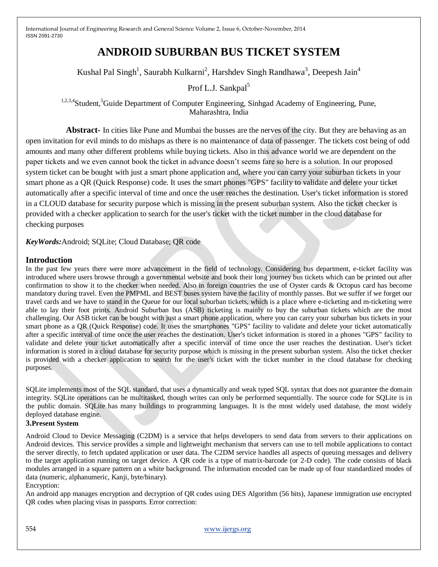# **ANDROID SUBURBAN BUS TICKET SYSTEM**

Kushal Pal Singh<sup>1</sup>, Saurabh Kulkarni<sup>2</sup>, Harshdev Singh Randhawa<sup>3</sup>, Deepesh Jain<sup>4</sup>

Prof L.J. Sankpal<sup>5</sup>

<sup>1,2,3,4</sup>Student,<sup>5</sup>Guide Department of Computer Engineering, Sinhgad Academy of Engineering, Pune, Maharashtra, India

**Abstract-** In cities like Pune and Mumbai the busses are the nerves of the city. But they are behaving as an open invitation for evil minds to do mishaps as there is no maintenance of data of passenger. The tickets cost being of odd amounts and many other different problems while buying tickets. Also in this advance world we are dependent on the paper tickets and we even cannot book the ticket in advance doesn't seems fare so here is a solution. In our proposed system ticket can be bought with just a smart phone application and, where you can carry your suburban tickets in your smart phone as a QR (Quick Response) code. It uses the smart phones "GPS" facility to validate and delete your ticket automatically after a specific interval of time and once the user reaches the destination. User's ticket information is stored in a CLOUD database for security purpose which is missing in the present suburban system. Also the ticket checker is provided with a checker application to search for the user's ticket with the ticket number in the cloud database for checking purposes

*KeyWords:*Android; SQLite; Cloud Database; QR code

# **Introduction**

In the past few years there were more advancement in the field of technology. Considering bus department, e-ticket facility was introduced where users browse through a governmental website and book their long journey bus tickets which can be printed out after confirmation to show it to the checker when needed. Also in foreign countries the use of Oyster cards & Octopus card has become mandatory during travel. Even the PMPML and BEST buses system have the facility of monthly passes. But we suffer if we forget our travel cards and we have to stand in the Queue for our local suburban tickets, which is a place where e-ticketing and m-ticketing were able to lay their foot prints. Android Suburban bus (ASB) ticketing is mainly to buy the suburban tickets which are the most challenging. Our ASB ticket can be bought with just a smart phone application, where you can carry your suburban bus tickets in your smart phone as a QR (Quick Response) code. It uses the smartphones "GPS" facility to validate and delete your ticket automatically after a specific interval of time once the user reaches the destination. User's ticket information is stored in a phones "GPS" facility to validate and delete your ticket automatically after a specific interval of time once the user reaches the destination. User's ticket information is stored in a cloud database for security purpose which is missing in the present suburban system. Also the ticket checker is provided with a checker application to search for the user's ticket with the ticket number in the cloud database for checking purposes.

SQLite implements most of the SQL standard, that uses a dynamically and weak typed SQL syntax that does not guarantee the domain integrity. SQLite operations can be multitasked, though writes can only be performed sequentially. The source code for SQLite is in the public domain. SQLite has many buildings to programming languages. It is the most widely used database, the most widely deployed database engine.

## **3.Present System**

Android Cloud to Device Messaging (C2DM) is a service that helps developers to send data from servers to their applications on Android devices. This service provides a simple and lightweight mechanism that servers can use to tell mobile applications to contact the server directly, to fetch updated application or user data. The C2DM service handles all aspects of queuing messages and delivery to the target application running on target device. A QR code is a type of matrix-barcode (or 2-D code). The code consists of black modules arranged in a square pattern on a white background. The information encoded can be made up of four standardized modes of data (numeric, alphanumeric, Kanji, byte/binary).

#### Encryption:

An android app manages encryption and decryption of QR codes using DES Algorithm (56 bits), Japanese immigration use encrypted QR codes when placing visas in passports. Error correction: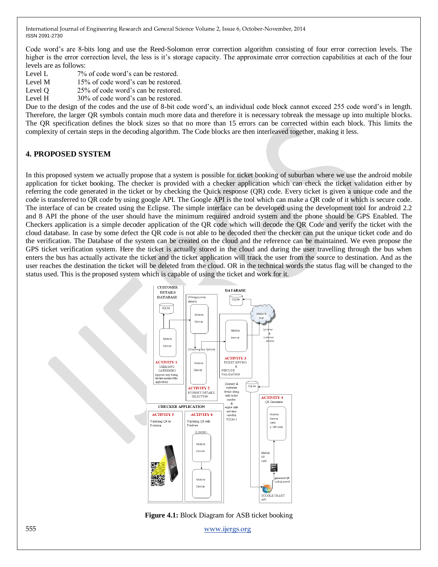Code word's are 8-bits long and use the Reed-Solomon error correction algorithm consisting of four error correction levels. The higher is the error correction level, the less is it's storage capacity. The approximate error correction capabilities at each of the four levels are as follows:

- Level L 7% of code word's can be restored.
- Level M 15% of code word's can be restored.
- Level Q 25% of code word's can be restored.
- Level H 30% of code word's can be restored.

Due to the design of the codes and the use of 8-bit code word's, an individual code block cannot exceed 255 code word's in length. Therefore, the larger QR symbols contain much more data and therefore it is necessary tobreak the message up into multiple blocks. The QR specification defines the block sizes so that no more than 15 errors can be corrected within each block. This limits the complexity of certain steps in the decoding algorithm. The Code blocks are then interleaved together, making it less.

# **4. PROPOSED SYSTEM**

In this proposed system we actually propose that a system is possible for ticket booking of suburban where we use the android mobile application for ticket booking. The checker is provided with a checker application which can check the ticket validation either by referring the code generated in the ticket or by checking the Quick response (QR) code. Every ticket is given a unique code and the code is transferred to QR code by using google API. The Google API is the tool which can make a QR code of it which is secure code. The interface of can be created using the Eclipse. The simple interface can be developed using the development tool for android 2.2 and 8 API the phone of the user should have the minimum required android system and the phone should be GPS Enabled. The Checkers application is a simple decoder application of the QR code which will decode the QR Code and verify the ticket with the cloud database. In case by some defect the QR code is not able to be decoded then the checker can put the unique ticket code and do the verification. The Database of the system can be created on the cloud and the reference can be maintained. We even propose the GPS ticket verification system. Here the ticket is actually stored in the cloud and during the user travelling through the bus when enters the bus has actually activate the ticket and the ticket application will track the user from the source to destination. And as the user reaches the destination the ticket will be deleted from the cloud. OR in the technical words the status flag will be changed to the status used. This is the proposed system which is capable of using the ticket and work for it.



**Figure 4.1:** Block Diagram for ASB ticket booking

555 www.ijergs.org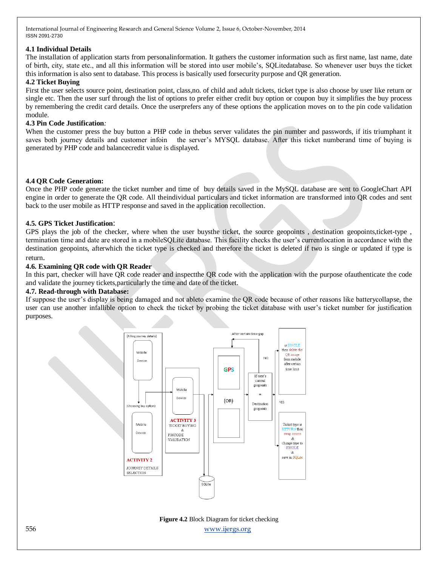#### **4.1 Individual Details**

The installation of application starts from personalinformation. It gathers the customer information such as first name, last name, date of birth, city, state etc., and all this information will be stored into user mobile's, SQLitedatabase. So whenever user buys the ticket this information is also sent to database. This process is basically used forsecurity purpose and QR generation.

## **4.2 Ticket Buying**

First the user selects source point, destination point, class,no. of child and adult tickets, ticket type is also choose by user like return or single etc. Then the user surf through the list of options to prefer either credit buy option or coupon buy it simplifies the buy process by remembering the credit card details. Once the userprefers any of these options the application moves on to the pin code validation module.

#### **4.3 Pin Code Justification***:*

When the customer press the buy button a PHP code in thebus server validates the pin number and passwords, if it it it triumphant it saves both journey details and customer infoin the server's MYSQL database. After this ticket numberand time of buying is generated by PHP code and balancecredit value is displayed.

#### **4.4 QR Code Generation:**

Once the PHP code generate the ticket number and time of buy details saved in the MySQL database are sent to GoogleChart API engine in order to generate the QR code. All theindividual particulars and ticket information are transformed into QR codes and sent back to the user mobile as HTTP response and saved in the application recollection.

#### **4.5. GPS Ticket Justification**:

GPS plays the job of the checker, where when the user buysthe ticket, the source geopoints , destination geopoints,ticket-type , termination time and date are stored in a mobileSQLite database. This facility checks the user's currentlocation in accordance with the destination geopoints, afterwhich the ticket type is checked and therefore the ticket is deleted if two is single or updated if type is return.

#### **4.6. Examining QR code with QR Reader**

In this part, checker will have QR code reader and inspectthe QR code with the application with the purpose ofauthenticate the code and validate the journey tickets,particularly the time and date of the ticket.

#### **4.7. Read-through with Database:**

If suppose the user's display is being damaged and not ableto examine the QR code because of other reasons like batterycollapse, the user can use another infallible option to check the ticket by probing the ticket database with user's ticket number for justification purposes.



556 www.ijergs.org **Figure 4.2** Block Diagram for ticket checking